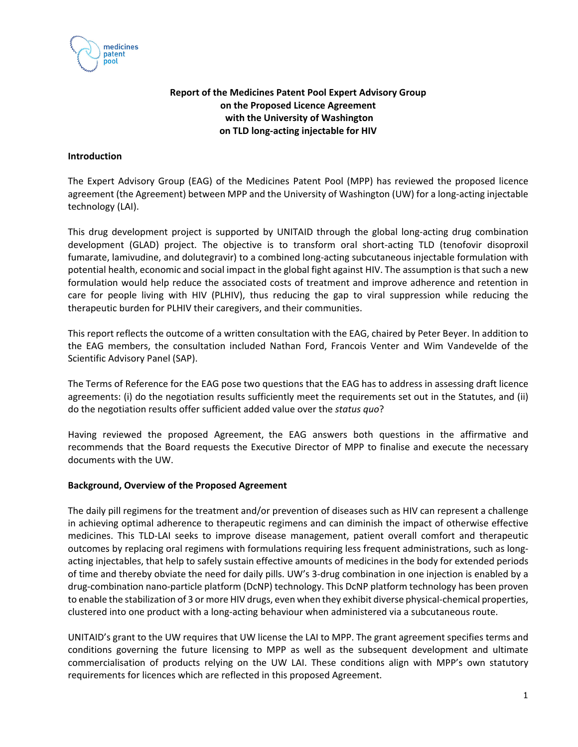

# **Report of the Medicines Patent Pool Expert Advisory Group on the Proposed Licence Agreement with the University of Washington on TLD long‐acting injectable for HIV**

### **Introduction**

The Expert Advisory Group (EAG) of the Medicines Patent Pool (MPP) has reviewed the proposed licence agreement (the Agreement) between MPP and the University of Washington (UW) for a long‐acting injectable technology (LAI).

This drug development project is supported by UNITAID through the global long‐acting drug combination development (GLAD) project. The objective is to transform oral short‐acting TLD (tenofovir disoproxil fumarate, lamivudine, and dolutegravir) to a combined long‐acting subcutaneous injectable formulation with potential health, economic and social impact in the global fight against HIV. The assumption is that such a new formulation would help reduce the associated costs of treatment and improve adherence and retention in care for people living with HIV (PLHIV), thus reducing the gap to viral suppression while reducing the therapeutic burden for PLHIV their caregivers, and their communities.

This report reflects the outcome of a written consultation with the EAG, chaired by Peter Beyer. In addition to the EAG members, the consultation included Nathan Ford, Francois Venter and Wim Vandevelde of the Scientific Advisory Panel (SAP).

The Terms of Reference for the EAG pose two questions that the EAG has to address in assessing draft licence agreements: (i) do the negotiation results sufficiently meet the requirements set out in the Statutes, and (ii) do the negotiation results offer sufficient added value over the *status quo*?

Having reviewed the proposed Agreement, the EAG answers both questions in the affirmative and recommends that the Board requests the Executive Director of MPP to finalise and execute the necessary documents with the UW.

## **Background, Overview of the Proposed Agreement**

The daily pill regimens for the treatment and/or prevention of diseases such as HIV can represent a challenge in achieving optimal adherence to therapeutic regimens and can diminish the impact of otherwise effective medicines. This TLD‐LAI seeks to improve disease management, patient overall comfort and therapeutic outcomes by replacing oral regimens with formulations requiring less frequent administrations, such as long‐ acting injectables, that help to safely sustain effective amounts of medicines in the body for extended periods of time and thereby obviate the need for daily pills. UW's 3‐drug combination in one injection is enabled by a drug‐combination nano‐particle platform (DcNP) technology. This DcNP platform technology has been proven to enable the stabilization of 3 or more HIV drugs, even when they exhibit diverse physical‐chemical properties, clustered into one product with a long‐acting behaviour when administered via a subcutaneous route.

UNITAID's grant to the UW requires that UW license the LAI to MPP. The grant agreement specifies terms and conditions governing the future licensing to MPP as well as the subsequent development and ultimate commercialisation of products relying on the UW LAI. These conditions align with MPP's own statutory requirements for licences which are reflected in this proposed Agreement.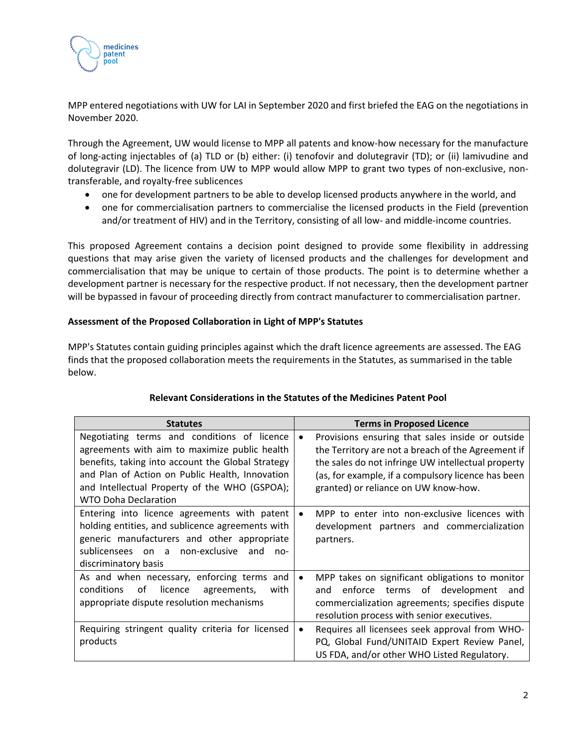

MPP entered negotiations with UW for LAI in September 2020 and first briefed the EAG on the negotiations in November 2020.

Through the Agreement, UW would license to MPP all patents and know‐how necessary for the manufacture of long‐acting injectables of (a) TLD or (b) either: (i) tenofovir and dolutegravir (TD); or (ii) lamivudine and dolutegravir (LD). The licence from UW to MPP would allow MPP to grant two types of non‐exclusive, non‐ transferable, and royalty‐free sublicences

- one for development partners to be able to develop licensed products anywhere in the world, and
- one for commercialisation partners to commercialise the licensed products in the Field (prevention and/or treatment of HIV) and in the Territory, consisting of all low- and middle-income countries.

This proposed Agreement contains a decision point designed to provide some flexibility in addressing questions that may arise given the variety of licensed products and the challenges for development and commercialisation that may be unique to certain of those products. The point is to determine whether a development partner is necessary for the respective product. If not necessary, then the development partner will be bypassed in favour of proceeding directly from contract manufacturer to commercialisation partner.

## **Assessment of the Proposed Collaboration in Light of MPP's Statutes**

MPP's Statutes contain guiding principles against which the draft licence agreements are assessed. The EAG finds that the proposed collaboration meets the requirements in the Statutes, as summarised in the table below.

| <b>Statutes</b>                                                                                                                                                                                                                                                                      | <b>Terms in Proposed Licence</b>                                                                                                                                                                                                                                        |  |
|--------------------------------------------------------------------------------------------------------------------------------------------------------------------------------------------------------------------------------------------------------------------------------------|-------------------------------------------------------------------------------------------------------------------------------------------------------------------------------------------------------------------------------------------------------------------------|--|
| Negotiating terms and conditions of licence<br>agreements with aim to maximize public health<br>benefits, taking into account the Global Strategy<br>and Plan of Action on Public Health, Innovation<br>and Intellectual Property of the WHO (GSPOA);<br><b>WTO Doha Declaration</b> | Provisions ensuring that sales inside or outside<br>$\bullet$<br>the Territory are not a breach of the Agreement if<br>the sales do not infringe UW intellectual property<br>(as, for example, if a compulsory licence has been<br>granted) or reliance on UW know-how. |  |
| Entering into licence agreements with patent<br>holding entities, and sublicence agreements with<br>generic manufacturers and other appropriate<br>sublicensees on a non-exclusive<br>and<br>$n_{0}$ -<br>discriminatory basis                                                       | MPP to enter into non-exclusive licences with<br>$\bullet$<br>development partners and commercialization<br>partners.                                                                                                                                                   |  |
| As and when necessary, enforcing terms and<br>conditions<br>licence<br>of<br>agreements,<br>with<br>appropriate dispute resolution mechanisms                                                                                                                                        | MPP takes on significant obligations to monitor<br>$\bullet$<br>enforce terms of development<br>and<br>and<br>commercialization agreements; specifies dispute<br>resolution process with senior executives.                                                             |  |
| Requiring stringent quality criteria for licensed<br>products                                                                                                                                                                                                                        | Requires all licensees seek approval from WHO-<br>٠<br>PQ, Global Fund/UNITAID Expert Review Panel,<br>US FDA, and/or other WHO Listed Regulatory.                                                                                                                      |  |

## **Relevant Considerations in the Statutes of the Medicines Patent Pool**